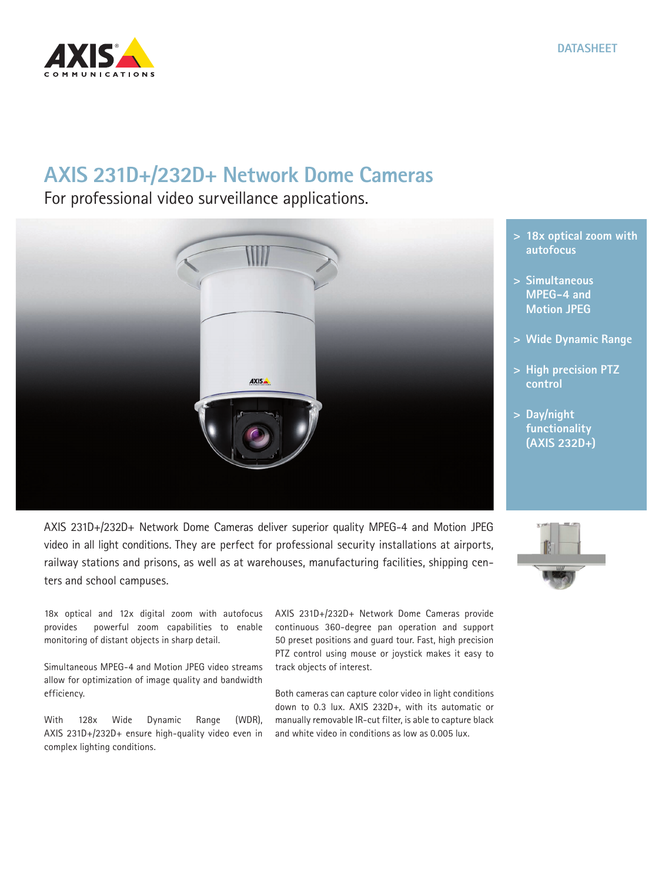

## **AXIS 231D+/232D+ Network Dome Cameras**

For professional video surveillance applications.



AXIS 231D+/232D+ Network Dome Cameras deliver superior quality MPEG-4 and Motion JPEG video in all light conditions. They are perfect for professional security installations at airports, railway stations and prisons, as well as at warehouses, manufacturing facilities, shipping centers and school campuses.

18x optical and 12x digital zoom with autofocus provides powerful zoom capabilities to enable monitoring of distant objects in sharp detail.

Simultaneous MPEG-4 and Motion JPEG video streams allow for optimization of image quality and bandwidth efficiency.

With 128x Wide Dynamic Range (WDR), AXIS 231D+/232D+ ensure high-quality video even in complex lighting conditions.

AXIS 231D+/232D+ Network Dome Cameras provide continuous 360-degree pan operation and support 50 preset positions and guard tour. Fast, high precision PTZ control using mouse or joystick makes it easy to track objects of interest.

**DATASHEET**

Both cameras can capture color video in light conditions down to 0.3 lux. AXIS 232D+, with its automatic or manually removable IR-cut filter, is able to capture black and white video in conditions as low as 0.005 lux.